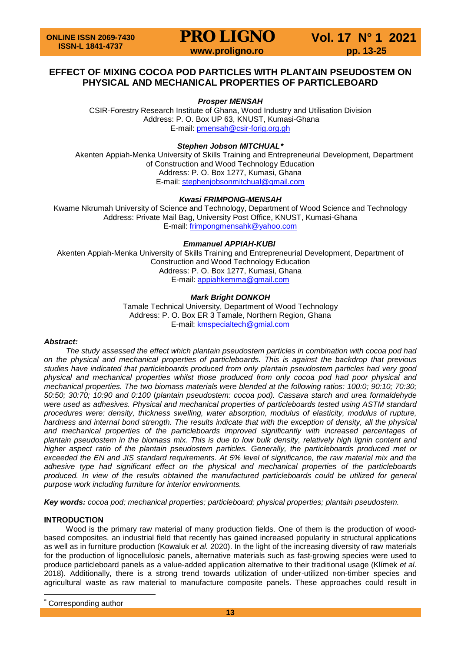### **EFFECT OF MIXING COCOA POD PARTICLES WITH PLANTAIN PSEUDOSTEM ON PHYSICAL AND MECHANICAL PROPERTIES OF PARTICLEBOARD**

#### *Prosper MENSAH*

CSIR-Forestry Research Institute of Ghana, Wood Industry and Utilisation Division Address: P. O. Box UP 63, KNUST, Kumasi-Ghana E-mail: [pmensah@csir-forig.org.gh](mailto:pmensah@csir-forig.org.gh)

#### *Stephen Jobson MITCHUAL[\\*](#page-0-0)*

Akenten Appiah-Menka University of Skills Training and Entrepreneurial Development, Department of Construction and Wood Technology Education Address: P. O. Box 1277, Kumasi, Ghana E-mail: [stephenjobsonmitchual@gmail.com](mailto:stephenjobsonmitchual@gmail.com)

#### *Kwasi FRIMPONG-MENSAH*

Kwame Nkrumah University of Science and Technology, Department of Wood Science and Technology Address: Private Mail Bag, University Post Office, KNUST, Kumasi-Ghana E-mail: [frimpongmensahk@yahoo.com](mailto:frimpongmensahk@yahoo.com)

### *Emmanuel APPIAH-KUBI*

Akenten Appiah-Menka University of Skills Training and Entrepreneurial Development, Department of Construction and Wood Technology Education Address: P. O. Box 1277, Kumasi, Ghana E-mail: [appiahkemma@gmail.com](mailto:appiahkemma@gmail.com)

#### *Mark Bright DONKOH*

Tamale Technical University, Department of Wood Technology Address: P. O. Box ER 3 Tamale, Northern Region, Ghana E-mail: [kmspecialtech@gmial.com](mailto:kmspecialtech@gmial.com)

#### *Abstract:*

*The study assessed the effect which plantain pseudostem particles in combination with cocoa pod had on the physical and mechanical properties of particleboards. This is against the backdrop that previous studies have indicated that particleboards produced from only plantain pseudostem particles had very good physical and mechanical properties whilst those produced from only cocoa pod had poor physical and mechanical properties. The two biomass materials were blended at the following ratios: 100:0; 90:10; 70:30; 50:50; 30:70; 10:90 and 0:100* (*plantain pseudostem: cocoa pod). Cassava starch and urea formaldehyde were used as adhesives. Physical and mechanical properties of particleboards tested using ASTM standard procedures were: density, thickness swelling, water absorption, modulus of elasticity, modulus of rupture, hardness and internal bond strength. The results indicate that with the exception of density, all the physical and mechanical properties of the particleboards improved significantly with increased percentages of plantain pseudostem in the biomass mix. This is due to low bulk density, relatively high lignin content and higher aspect ratio of the plantain pseudostem particles. Generally, the particleboards produced met or exceeded the EN and JIS standard requirements. At 5% level of significance, the raw material mix and the adhesive type had significant effect on the physical and mechanical properties of the particleboards produced. In view of the results obtained the manufactured particleboards could be utilized for general purpose work including furniture for interior environments.*

*Key words: cocoa pod; mechanical properties; particleboard; physical properties; plantain pseudostem.*

#### **INTRODUCTION**

Wood is the primary raw material of many production fields. One of them is the production of woodbased composites, an industrial field that recently has gained increased popularity in structural applications as well as in furniture production (Kowaluk *et al.* 2020). In the light of the increasing diversity of raw materials for the production of lignocellulosic panels, alternative materials such as fast-growing species were used to produce particleboard panels as a value-added application alternative to their traditional usage (Klímek *et al*. 2018). Additionally, there is a strong trend towards utilization of under-utilized non-timber species and agricultural waste as raw material to manufacture composite panels. These approaches could result in

<span id="page-0-0"></span>Corresponding author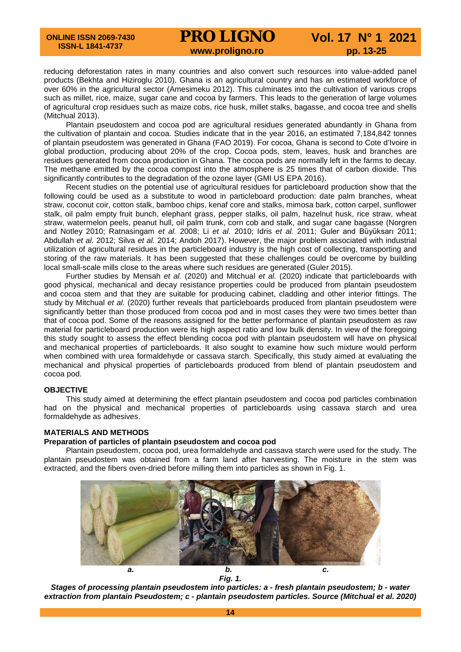reducing deforestation rates in many countries and also convert such resources into value-added panel products (Bekhta and Hiziroglu 2010). Ghana is an agricultural country and has an estimated workforce of over 60% in the agricultural sector (Amesimeku 2012). This culminates into the cultivation of various crops such as millet, rice, maize, sugar cane and cocoa by farmers. This leads to the generation of large volumes of agricultural crop residues such as maize cobs, rice husk, millet stalks, bagasse, and cocoa tree and shells (Mitchual 2013).

Plantain pseudostem and cocoa pod are agricultural residues generated abundantly in Ghana from the cultivation of plantain and cocoa. Studies indicate that in the year 2016, an estimated 7,184,842 tonnes of plantain pseudostem was generated in Ghana (FAO 2019). For cocoa, Ghana is second to Cote d'Ivoire in global production, producing about 20% of the crop. Cocoa pods, stem, leaves, husk and branches are residues generated from cocoa production in Ghana. The cocoa pods are normally left in the farms to decay. The methane emitted by the cocoa compost into the atmosphere is 25 times that of carbon dioxide. This significantly contributes to the degradation of the ozone layer (GMI US EPA 2016).

Recent studies on the potential use of agricultural residues for particleboard production show that the following could be used as a substitute to wood in particleboard production: date palm branches, wheat straw, coconut coir, cotton stalk, bamboo chips, kenaf core and stalks, mimosa bark, cotton carpel, sunflower stalk, oil palm empty fruit bunch, elephant grass, pepper stalks, oil palm, hazelnut husk, rice straw, wheat straw, watermelon peels, peanut hull, oil palm trunk, corn cob and stalk, and sugar cane bagasse (Norgren and Notley 2010; Ratnasingam *et al.* 2008; Li *et al.* 2010; Idris *et al.* 2011; Guler and Büyüksarı 2011; Abdullah *et al.* 2012; Silva *et al.* 2014; Andoh 2017). However, the major problem associated with industrial utilization of agricultural residues in the particleboard industry is the high cost of collecting, transporting and storing of the raw materials. It has been suggested that these challenges could be overcome by building local small-scale mills close to the areas where such residues are generated (Guler 2015).

Further studies by Mensah *et al.* (2020) and Mitchual *et al.* (2020) indicate that particleboards with good physical, mechanical and decay resistance properties could be produced from plantain pseudostem and cocoa stem and that they are suitable for producing cabinet, cladding and other interior fittings. The study by Mitchual *et al.* (2020) further reveals that particleboards produced from plantain pseudostem were significantly better than those produced from cocoa pod and in most cases they were two times better than that of cocoa pod. Some of the reasons assigned for the better performance of plantain pseudostem as raw material for particleboard production were its high aspect ratio and low bulk density. In view of the foregoing this study sought to assess the effect blending cocoa pod with plantain pseudostem will have on physical and mechanical properties of particleboards. It also sought to examine how such mixture would perform when combined with urea formaldehyde or cassava starch. Specifically, this study aimed at evaluating the mechanical and physical properties of particleboards produced from blend of plantain pseudostem and cocoa pod.

#### **OBJECTIVE**

This study aimed at determining the effect plantain pseudostem and cocoa pod particles combination had on the physical and mechanical properties of particleboards using cassava starch and urea formaldehyde as adhesives.

#### **MATERIALS AND METHODS**

#### **Preparation of particles of plantain pseudostem and cocoa pod**

Plantain pseudostem, cocoa pod, urea formaldehyde and cassava starch were used for the study. The plantain pseudostem was obtained from a farm land after harvesting. The moisture in the stem was extracted, and the fibers oven-dried before milling them into particles as shown in Fig. 1.



*Fig. 1.*

*Stages of processing plantain pseudostem into particles: a - fresh plantain pseudostem; b - water extraction from plantain Pseudostem; c - plantain pseudostem particles. Source (Mitchual et al. 2020)*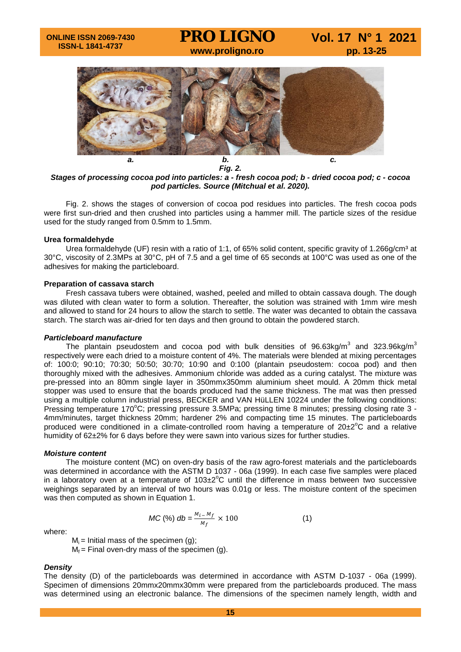

*Fig. 2. Stages of processing cocoa pod into particles: a - fresh cocoa pod; b - dried cocoa pod; c - cocoa pod particles. Source (Mitchual et al. 2020).*

Fig. 2. shows the stages of conversion of cocoa pod residues into particles. The fresh cocoa pods were first sun-dried and then crushed into particles using a hammer mill. The particle sizes of the residue used for the study ranged from 0.5mm to 1.5mm.

#### **Urea formaldehyde**

Urea formaldehyde (UF) resin with a ratio of 1:1, of 65% solid content, specific gravity of 1.266g/cm<sup>3</sup> at 30°C, viscosity of 2.3MPs at 30°C, pH of 7.5 and a gel time of 65 seconds at 100°C was used as one of the adhesives for making the particleboard.

#### **Preparation of cassava starch**

Fresh cassava tubers were obtained, washed, peeled and milled to obtain cassava dough. The dough was diluted with clean water to form a solution. Thereafter, the solution was strained with 1mm wire mesh and allowed to stand for 24 hours to allow the starch to settle. The water was decanted to obtain the cassava starch. The starch was air-dried for ten days and then ground to obtain the powdered starch.

#### *Particleboard manufacture*

The plantain pseudostem and cocoa pod with bulk densities of  $96.63 \text{kg/m}^3$  and  $323.96 \text{kg/m}^3$ respectively were each dried to a moisture content of 4%. The materials were blended at mixing percentages of: 100:0; 90:10; 70:30; 50:50; 30:70; 10:90 and 0:100 (plantain pseudostem: cocoa pod) and then thoroughly mixed with the adhesives. Ammonium chloride was added as a curing catalyst. The mixture was pre-pressed into an 80mm single layer in 350mmx350mm aluminium sheet mould. A 20mm thick metal stopper was used to ensure that the boards produced had the same thickness. The mat was then pressed using a multiple column industrial press, BECKER and VAN HüLLEN 10224 under the following conditions: Pressing temperature 170°C; pressing pressure 3.5MPa; pressing time 8 minutes; pressing closing rate 3 -4mm/minutes, target thickness 20mm; hardener 2% and compacting time 15 minutes. The particleboards produced were conditioned in a climate-controlled room having a temperature of  $20\pm2^{\circ}C$  and a relative humidity of 62±2% for 6 days before they were sawn into various sizes for further studies.

#### *Moisture content*

The moisture content (MC) on oven-dry basis of the raw agro-forest materials and the particleboards was determined in accordance with the ASTM D 1037 - 06a (1999). In each case five samples were placed in a laboratory oven at a temperature of  $103\pm2^{\circ}$ C until the difference in mass between two successive weighings separated by an interval of two hours was 0.01g or less. The moisture content of the specimen was then computed as shown in Equation 1.

where:

$$
MC\,(\%)\,db = \frac{M_i - M_f}{M_f} \times 100\tag{1}
$$

 $M_i$  = Initial mass of the specimen (g);  $M_f$  = Final oven-dry mass of the specimen (g).

#### *Density*

The density (D) of the particleboards was determined in accordance with ASTM D-1037 - 06a (1999). Specimen of dimensions 20mmx20mmx30mm were prepared from the particleboards produced. The mass was determined using an electronic balance. The dimensions of the specimen namely length, width and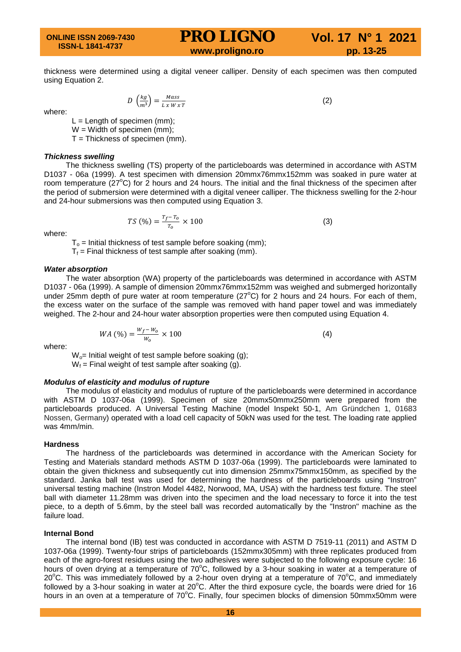thickness were determined using a digital veneer calliper. Density of each specimen was then computed using Equation 2.

where:

 $L =$  Length of specimen (mm);  $W =$  Width of specimen (mm);  $T = Thickness of specimen (mm).$ 

#### *Thickness swelling*

The thickness swelling (TS) property of the particleboards was determined in accordance with ASTM D1037 - 06a (1999). A test specimen with dimension 20mmx76mmx152mm was soaked in pure water at room temperature  $(27^{\circ}C)$  for 2 hours and 24 hours. The initial and the final thickness of the specimen after the period of submersion were determined with a digital veneer calliper. The thickness swelling for the 2-hour and 24-hour submersions was then computed using Equation 3.

 $TS(\%) = \frac{t_f - t_o}{T_o} \times 100$  (3)

where:

 $T<sub>o</sub>$  = Initial thickness of test sample before soaking (mm);

 $T_f$  = Final thickness of test sample after soaking (mm).

#### *Water absorption*

The water absorption (WA) property of the particleboards was determined in accordance with ASTM D1037 - 06a (1999). A sample of dimension 20mmx76mmx152mm was weighed and submerged horizontally under 25mm depth of pure water at room temperature ( $27^{\circ}$ C) for 2 hours and 24 hours. For each of them, the excess water on the surface of the sample was removed with hand paper towel and was immediately weighed. The 2-hour and 24-hour water absorption properties were then computed using Equation 4.

$$
WA\left(\frac{\%}{\right)} = \frac{W_f - W_o}{W_o} \times 100
$$
 (4)

where:

 $W_0$ = Initial weight of test sample before soaking (g);  $W_f$  = Final weight of test sample after soaking (g).

#### *Modulus of elasticity and modulus of rupture*

The modulus of elasticity and modulus of rupture of the particleboards were determined in accordance with ASTM D 1037-06a (1999). Specimen of size 20mmx50mmx250mm were prepared from the particleboards produced. A Universal Testing Machine (model Inspekt 50-1, Am Gründchen 1, 01683 Nossen, Germany) operated with a load cell capacity of 50kN was used for the test. The loading rate applied was 4mm/min.

#### **Hardness**

The hardness of the particleboards was determined in accordance with the American Society for Testing and Materials standard methods ASTM D 1037-06a (1999). The particleboards were laminated to obtain the given thickness and subsequently cut into dimension 25mmx75mmx150mm, as specified by the standard. Janka ball test was used for determining the hardness of the particleboards using "Instron" universal testing machine (Instron Model 4482, Norwood, MA, USA) with the hardness test fixture. The steel ball with diameter 11.28mm was driven into the specimen and the load necessary to force it into the test piece, to a depth of 5.6mm, by the steel ball was recorded automatically by the "Instron" machine as the failure load.

#### **Internal Bond**

The internal bond (IB) test was conducted in accordance with ASTM D 7519-11 (2011) and ASTM D 1037-06a (1999). Twenty-four strips of particleboards (152mmx305mm) with three replicates produced from each of the agro-forest residues using the two adhesives were subjected to the following exposure cycle: 16 hours of oven drying at a temperature of 70°C, followed by a 3-hour soaking in water at a temperature of 20°C. This was immediately followed by a 2-hour oven drying at a temperature of  $70^{\circ}$ C, and immediately followed by a 3-hour soaking in water at 20 $^{\circ}$ C. After the third exposure cycle, the boards were dried for 16 hours in an oven at a temperature of 70°C. Finally, four specimen blocks of dimension 50mmx50mm were

 $D\left(\frac{\kappa g}{m^3}\right) = \frac{mass}{L x W x T}$  (2)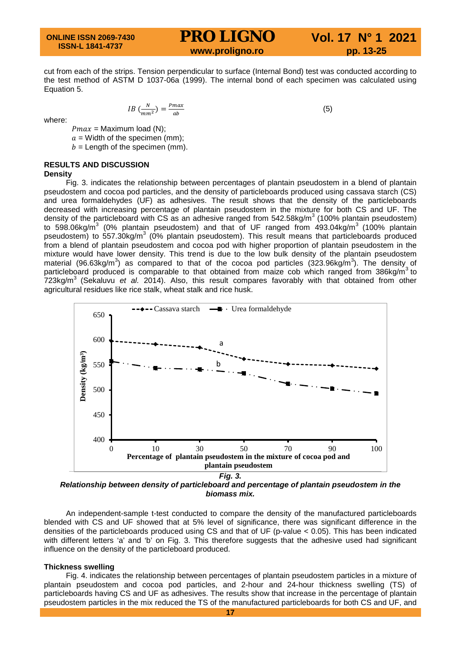cut from each of the strips. Tension perpendicular to surface (Internal Bond) test was conducted according to the test method of ASTM D 1037-06a (1999). The internal bond of each specimen was calculated using Equation 5.

 $\frac{1}{b}$  (5)

where:

 $Pmax =$  Maximum load (N);  $a =$  Width of the specimen (mm);  $b =$  Length of the specimen (mm).

 $IB\left(\frac{N}{mm^2}\right) = \frac{P}{m}$ 

**RESULTS AND DISCUSSION**

#### **Density**

Fig. 3. indicates the relationship between percentages of plantain pseudostem in a blend of plantain pseudostem and cocoa pod particles, and the density of particleboards produced using cassava starch (CS) and urea formaldehydes (UF) as adhesives. The result shows that the density of the particleboards decreased with increasing percentage of plantain pseudostem in the mixture for both CS and UF. The density of the particleboard with CS as an adhesive ranged from  $542.58\text{kg/m}^3$  (100% plantain pseudostem) to 598.06kg/ $m^3$  (0% plantain pseudostem) and that of UF ranged from 493.04kg/ $m^3$  (100% plantain pseudostem) to 557.30kg/m<sup>3</sup> (0% plantain pseudostem). This result means that particleboards produced from a blend of plantain pseudostem and cocoa pod with higher proportion of plantain pseudostem in the mixture would have lower density. This trend is due to the low bulk density of the plantain pseudostem material (96.63kg/m<sup>3</sup>) as compared to that of the cocoa pod particles (323.96kg/m<sup>3</sup>). The density of particleboard produced is comparable to that obtained from maize cob which ranged from  $386$ kg/m<sup>3</sup> to 723kg/m3 (Sekaluvu *et al.* 2014). Also, this result compares favorably with that obtained from other agricultural residues like rice stalk, wheat stalk and rice husk.



*Relationship between density of particleboard and percentage of plantain pseudostem in the biomass mix.*

An independent-sample t-test conducted to compare the density of the manufactured particleboards blended with CS and UF showed that at 5% level of significance, there was significant difference in the densities of the particleboards produced using CS and that of UF (p-value < 0.05). This has been indicated with different letters 'a' and 'b' on Fig. 3. This therefore suggests that the adhesive used had significant influence on the density of the particleboard produced.

#### **Thickness swelling**

Fig. 4. indicates the relationship between percentages of plantain pseudostem particles in a mixture of plantain pseudostem and cocoa pod particles, and 2-hour and 24-hour thickness swelling (TS) of particleboards having CS and UF as adhesives. The results show that increase in the percentage of plantain pseudostem particles in the mix reduced the TS of the manufactured particleboards for both CS and UF, and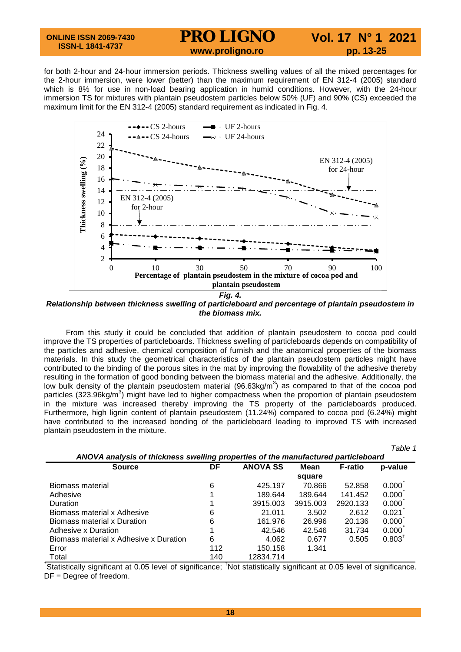#### **ONLINE ISSN 2069-7430 ISSN-L 1841-4737**

### **PRO LIGNO** Vol. 17 N° 1 2021<br>www.proligno.ro pp. 13-25

*Table 1*

for both 2-hour and 24-hour immersion periods. Thickness swelling values of all the mixed percentages for the 2-hour immersion, were lower (better) than the maximum requirement of EN 312-4 (2005) standard which is 8% for use in non-load bearing application in humid conditions. However, with the 24-hour immersion TS for mixtures with plantain pseudostem particles below 50% (UF) and 90% (CS) exceeded the maximum limit for the EN 312-4 (2005) standard requirement as indicated in Fig. 4.



*Relationship between thickness swelling of particleboard and percentage of plantain pseudostem in the biomass mix.*

From this study it could be concluded that addition of plantain pseudostem to cocoa pod could improve the TS properties of particleboards. Thickness swelling of particleboards depends on compatibility of the particles and adhesive, chemical composition of furnish and the anatomical properties of the biomass materials. In this study the geometrical characteristics of the plantain pseudostem particles might have contributed to the binding of the porous sites in the mat by improving the flowability of the adhesive thereby resulting in the formation of good bonding between the biomass material and the adhesive. Additionally, the low bulk density of the plantain pseudostem material (96.63kg/m<sup>3</sup>) as compared to that of the cocoa pod particles (323.96kg/m<sup>3</sup>) might have led to higher compactness when the proportion of plantain pseudostem in the mixture was increased thereby improving the TS property of the particleboards produced. Furthermore, high lignin content of plantain pseudostem (11.24%) compared to cocoa pod (6.24%) might have contributed to the increased bonding of the particleboard leading to improved TS with increased plantain pseudostem in the mixture.

|                                                                                   |     |                 |          |                | <i>I</i> avit I |  |  |
|-----------------------------------------------------------------------------------|-----|-----------------|----------|----------------|-----------------|--|--|
| ANOVA analysis of thickness swelling properties of the manufactured particleboard |     |                 |          |                |                 |  |  |
| <b>Source</b>                                                                     | DF  | <b>ANOVA SS</b> | Mean     | <b>F-ratio</b> | p-value         |  |  |
|                                                                                   |     |                 | square   |                |                 |  |  |
| Biomass material                                                                  | 6   | 425.197         | 70.866   | 52.858         | 0.000           |  |  |
| Adhesive                                                                          |     | 189.644         | 189.644  | 141.452        | 0.000           |  |  |
| Duration                                                                          |     | 3915.003        | 3915.003 | 2920.133       | 0.000           |  |  |
| Biomass material x Adhesive                                                       | 6   | 21.011          | 3.502    | 2.612          | 0.021           |  |  |
| Biomass material x Duration                                                       | 6   | 161.976         | 26.996   | 20.136         | 0.000           |  |  |
| Adhesive x Duration                                                               |     | 42.546          | 42.546   | 31.734         | 0.000           |  |  |
| Biomass material x Adhesive x Duration                                            | 6   | 4.062           | 0.677    | 0.505          | $0.803^T$       |  |  |
| Error                                                                             | 112 | 150.158         | 1.341    |                |                 |  |  |
| Total                                                                             | 140 | 12834.714       |          |                |                 |  |  |

Total<br>
Statistically significant at 0.05 level of significance; <sup>†</sup>Not statistically significant at 0.05 level of significance. DF = Degree of freedom.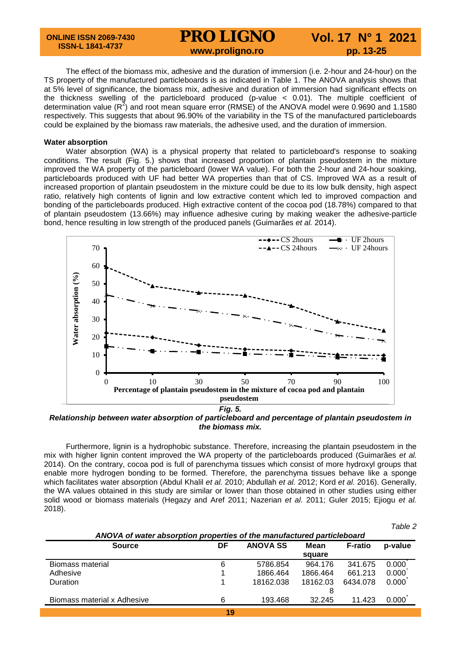**ONLINE ISSN 2069-7430 ISSN-L 1841-4737**

# **PRO LIGNO** Vol. 17 N° 1 2021<br>www.proligno.ro pp. 13-25

 $T$ able 2

The effect of the biomass mix, adhesive and the duration of immersion (i.e. 2-hour and 24-hour) on the TS property of the manufactured particleboards is as indicated in Table 1. The ANOVA analysis shows that at 5% level of significance, the biomass mix, adhesive and duration of immersion had significant effects on the thickness swelling of the particleboard produced (p-value < 0.01). The multiple coefficient of determination value  $(R^2)$  and root mean square error (RMSE) of the ANOVA model were 0.9690 and 1.1580 respectively. This suggests that about 96.90% of the variability in the TS of the manufactured particleboards could be explained by the biomass raw materials, the adhesive used, and the duration of immersion.

#### **Water absorption**

Water absorption (WA) is a physical property that related to particleboard's response to soaking conditions. The result (Fig. 5.) shows that increased proportion of plantain pseudostem in the mixture improved the WA property of the particleboard (lower WA value). For both the 2-hour and 24-hour soaking, particleboards produced with UF had better WA properties than that of CS. Improved WA as a result of increased proportion of plantain pseudostem in the mixture could be due to its low bulk density, high aspect ratio, relatively high contents of lignin and low extractive content which led to improved compaction and bonding of the particleboards produced. High extractive content of the cocoa pod (18.78%) compared to that of plantain pseudostem (13.66%) may influence adhesive curing by making weaker the adhesive-particle bond, hence resulting in low strength of the produced panels (Guimarães *et al.* 2014).



*Relationship between water absorption of particleboard and percentage of plantain pseudostem in the biomass mix.*

Furthermore, lignin is a hydrophobic substance. Therefore, increasing the plantain pseudostem in the mix with higher lignin content improved the WA property of the particleboards produced (Guimarães *et al.* 2014). On the contrary, cocoa pod is full of parenchyma tissues which consist of more hydroxyl groups that enable more hydrogen bonding to be formed. Therefore, the parenchyma tissues behave like a sponge which facilitates water absorption (Abdul Khalil *et al.* 2010; Abdullah *et al.* 2012; Kord *et al.* 2016). Generally, the WA values obtained in this study are similar or lower than those obtained in other studies using either solid wood or biomass materials (Hegazy and Aref 2011; Nazerian *et al.* 2011; Guler 2015; Ejiogu *et al.*  2018).

| <b>Source</b>               | DF | <b>ANOVA SS</b> | Mean     | <b>F-ratio</b> | p-value |
|-----------------------------|----|-----------------|----------|----------------|---------|
|                             |    |                 | square   |                |         |
| Biomass material            | 6  | 5786.854        | 964.176  | 341.675        | 0.000   |
| Adhesive                    |    | 1866.464        | 1866.464 | 661.213        | 0.000   |
| <b>Duration</b>             |    | 18162.038       | 18162.03 | 6434.078       | 0.000   |
|                             |    |                 | 8        |                |         |
| Biomass material x Adhesive | 6  | 193.468         | 32.245   | 11.423         | 0.000   |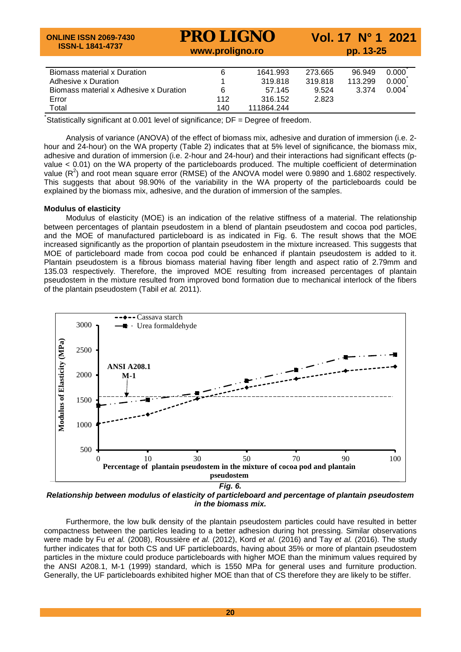| <b>ONLINE ISSN 2069-7430</b><br><b>ISSN-L 1841-4737</b> | <b>PRO LIGNO</b><br>www.proligno.ro | Vol. 17 N° 1 2021<br>pp. 13-25 |         |         |                   |
|---------------------------------------------------------|-------------------------------------|--------------------------------|---------|---------|-------------------|
| Biomass material x Duration                             | 6                                   | 1641.993                       | 273.665 | 96.949  | $0.000^{\degree}$ |
| Adhesive x Duration                                     |                                     | 319.818                        | 319.818 | 113.299 | 0.000             |
| Biomass material x Adhesive x Duration                  | 6                                   | 57.145                         | 9.524   | 3.374   | 0.004             |
| Error                                                   | 112                                 | 316.152                        | 2.823   |         |                   |
| Total                                                   | 140                                 | 111864.244                     |         |         |                   |

Statistically significant at 0.001 level of significance; DF = Degree of freedom.

Analysis of variance (ANOVA) of the effect of biomass mix, adhesive and duration of immersion (i.e. 2 hour and 24-hour) on the WA property (Table 2) indicates that at 5% level of significance, the biomass mix, adhesive and duration of immersion (i.e. 2-hour and 24-hour) and their interactions had significant effects (pvalue < 0.01) on the WA property of the particleboards produced. The multiple coefficient of determination value  $(R^2)$  and root mean square error (RMSE) of the ANOVA model were 0.9890 and 1.6802 respectively. This suggests that about 98.90% of the variability in the WA property of the particleboards could be explained by the biomass mix, adhesive, and the duration of immersion of the samples.

#### **Modulus of elasticity**

Modulus of elasticity (MOE) is an indication of the relative stiffness of a material. The relationship between percentages of plantain pseudostem in a blend of plantain pseudostem and cocoa pod particles, and the MOE of manufactured particleboard is as indicated in Fig. 6. The result shows that the MOE increased significantly as the proportion of plantain pseudostem in the mixture increased. This suggests that MOE of particleboard made from cocoa pod could be enhanced if plantain pseudostem is added to it. Plantain pseudostem is a fibrous biomass material having fiber length and aspect ratio of 2.79mm and 135.03 respectively. Therefore, the improved MOE resulting from increased percentages of plantain pseudostem in the mixture resulted from improved bond formation due to mechanical interlock of the fibers of the plantain pseudostem (Tabil *et al.* 2011).



*Relationship between modulus of elasticity of particleboard and percentage of plantain pseudostem in the biomass mix.*

Furthermore, the low bulk density of the plantain pseudostem particles could have resulted in better compactness between the particles leading to a better adhesion during hot pressing. Similar observations were made by Fu *et al.* (2008), Roussière *et al.* (2012), Kord *et al.* (2016) and Tay *et al.* (2016). The study further indicates that for both CS and UF particleboards, having about 35% or more of plantain pseudostem particles in the mixture could produce particleboards with higher MOE than the minimum values required by the ANSI A208.1, M-1 (1999) standard, which is 1550 MPa for general uses and furniture production. Generally, the UF particleboards exhibited higher MOE than that of CS therefore they are likely to be stiffer.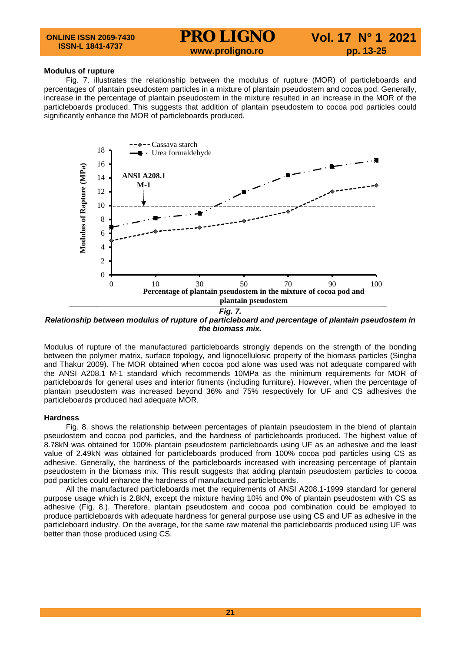### **Modulus of rupture**

Fig. 7. illustrates the relationship between the modulus of rupture (MOR) of particleboards and percentages of plantain pseudostem particles in a mixture of plantain pseudostem and cocoa pod. Generally, increase in the percentage of plantain pseudostem in the mixture resulted in an increase in the MOR of the particleboards produced. This suggests that addition of plantain pseudostem to cocoa pod particles could significantly enhance the MOR of particleboards produced.



*Relationship between modulus of rupture of particleboard and percentage of plantain pseudostem in the biomass mix.*

Modulus of rupture of the manufactured particleboards strongly depends on the strength of the bonding between the polymer matrix, surface topology, and lignocellulosic property of the biomass particles (Singha and Thakur 2009). The MOR obtained when cocoa pod alone was used was not adequate compared with the ANSI A208.1 M-1 standard which recommends 10MPa as the minimum requirements for MOR of particleboards for general uses and interior fitments (including furniture). However, when the percentage of plantain pseudostem was increased beyond 36% and 75% respectively for UF and CS adhesives the particleboards produced had adequate MOR.

#### **Hardness**

Fig. 8. shows the relationship between percentages of plantain pseudostem in the blend of plantain pseudostem and cocoa pod particles, and the hardness of particleboards produced. The highest value of 8.78kN was obtained for 100% plantain pseudostem particleboards using UF as an adhesive and the least value of 2.49kN was obtained for particleboards produced from 100% cocoa pod particles using CS as adhesive. Generally, the hardness of the particleboards increased with increasing percentage of plantain pseudostem in the biomass mix. This result suggests that adding plantain pseudostem particles to cocoa pod particles could enhance the hardness of manufactured particleboards.

All the manufactured particleboards met the requirements of ANSI A208.1-1999 standard for general purpose usage which is 2.8kN, except the mixture having 10% and 0% of plantain pseudostem with CS as adhesive (Fig. 8.). Therefore, plantain pseudostem and cocoa pod combination could be employed to produce particleboards with adequate hardness for general purpose use using CS and UF as adhesive in the particleboard industry. On the average, for the same raw material the particleboards produced using UF was better than those produced using CS.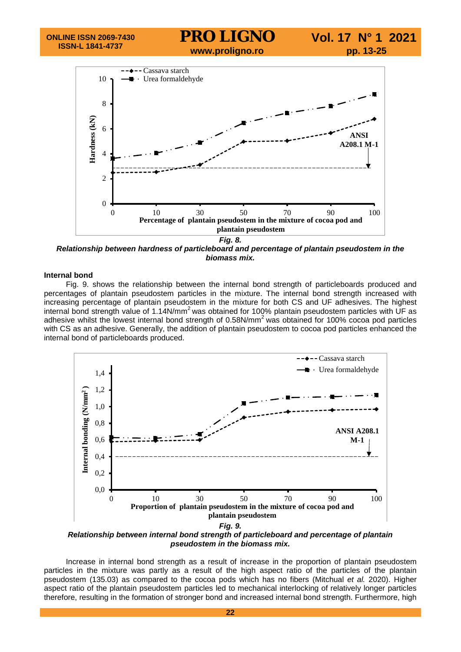

*Relationship between hardness of particleboard and percentage of plantain pseudostem in the biomass mix.*

#### **Internal bond**

Fig. 9. shows the relationship between the internal bond strength of particleboards produced and percentages of plantain pseudostem particles in the mixture. The internal bond strength increased with increasing percentage of plantain pseudostem in the mixture for both CS and UF adhesives. The highest internal bond strength value of  $1.14N/mm^2$  was obtained for 100% plantain pseudostem particles with UF as adhesive whilst the lowest internal bond strength of 0.58N/mm<sup>2</sup> was obtained for 100% cocoa pod particles with CS as an adhesive. Generally, the addition of plantain pseudostem to cocoa pod particles enhanced the internal bond of particleboards produced.



*Relationship between internal bond strength of particleboard and percentage of plantain pseudostem in the biomass mix.*

Increase in internal bond strength as a result of increase in the proportion of plantain pseudostem particles in the mixture was partly as a result of the high aspect ratio of the particles of the plantain pseudostem (135.03) as compared to the cocoa pods which has no fibers (Mitchual *et al.* 2020). Higher aspect ratio of the plantain pseudostem particles led to mechanical interlocking of relatively longer particles therefore, resulting in the formation of stronger bond and increased internal bond strength. Furthermore, high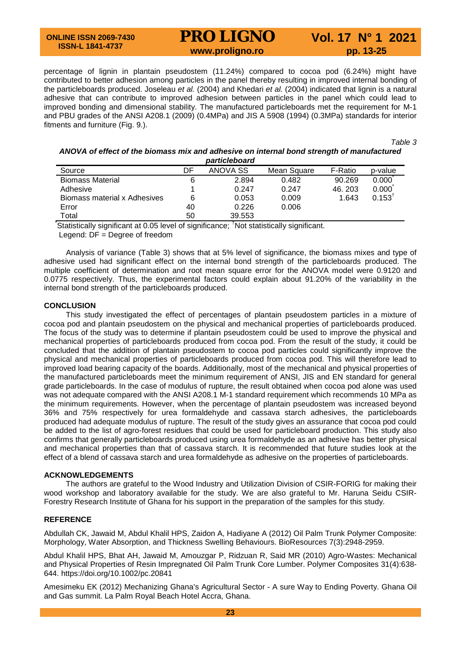#### **ONLINE ISSN 2069-7430 ISSN-L 1841-4737**

# **PRO LIGNO** Vol. 17 N° 1 2021<br>www.proligno.ro pp. 13-25

percentage of lignin in plantain pseudostem (11.24%) compared to cocoa pod (6.24%) might have contributed to better adhesion among particles in the panel thereby resulting in improved internal bonding of the particleboards produced. Joseleau *et al.* (2004) and Khedari *et al.* (2004) indicated that lignin is a natural adhesive that can contribute to improved adhesion between particles in the panel which could lead to improved bonding and dimensional stability. The manufactured particleboards met the requirement for M-1 and PBU grades of the ANSI A208.1 (2009) (0.4MPa) and JIS A 5908 (1994) (0.3MPa) standards for interior fitments and furniture (Fig. 9.).

*Table 3*

#### *ANOVA of effect of the biomass mix and adhesive on internal bond strength of manufactured particleboard*

| wui uvivivuu u               |    |          |             |         |             |  |  |
|------------------------------|----|----------|-------------|---------|-------------|--|--|
| Source                       | DF | ANOVA SS | Mean Square | F-Ratio | p-value     |  |  |
| <b>Biomass Material</b>      |    | 2.894    | 0.482       | 90.269  | 0.000       |  |  |
| Adhesive                     |    | 0.247    | 0.247       | 46.203  | 0.000       |  |  |
| Biomass material x Adhesives | 6  | 0.053    | 0.009       | 1.643   | $0.153^{T}$ |  |  |
| Error                        | 40 | 0.226    | 0.006       |         |             |  |  |
| Total                        | 50 | 39.553   |             |         |             |  |  |

Total 50 39.553<br>That is tically significant at 0.05 level of significance; <sup>†</sup>Not statistically significant.

Legend: DF = Degree of freedom

Analysis of variance (Table 3) shows that at 5% level of significance, the biomass mixes and type of adhesive used had significant effect on the internal bond strength of the particleboards produced. The multiple coefficient of determination and root mean square error for the ANOVA model were 0.9120 and 0.0775 respectively. Thus, the experimental factors could explain about 91.20% of the variability in the internal bond strength of the particleboards produced.

#### **CONCLUSION**

This study investigated the effect of percentages of plantain pseudostem particles in a mixture of cocoa pod and plantain pseudostem on the physical and mechanical properties of particleboards produced. The focus of the study was to determine if plantain pseudostem could be used to improve the physical and mechanical properties of particleboards produced from cocoa pod. From the result of the study, it could be concluded that the addition of plantain pseudostem to cocoa pod particles could significantly improve the physical and mechanical properties of particleboards produced from cocoa pod. This will therefore lead to improved load bearing capacity of the boards. Additionally, most of the mechanical and physical properties of the manufactured particleboards meet the minimum requirement of ANSI, JIS and EN standard for general grade particleboards. In the case of modulus of rupture, the result obtained when cocoa pod alone was used was not adequate compared with the ANSI A208.1 M-1 standard requirement which recommends 10 MPa as the minimum requirements. However, when the percentage of plantain pseudostem was increased beyond 36% and 75% respectively for urea formaldehyde and cassava starch adhesives, the particleboards produced had adequate modulus of rupture. The result of the study gives an assurance that cocoa pod could be added to the list of agro-forest residues that could be used for particleboard production. This study also confirms that generally particleboards produced using urea formaldehyde as an adhesive has better physical and mechanical properties than that of cassava starch. It is recommended that future studies look at the effect of a blend of cassava starch and urea formaldehyde as adhesive on the properties of particleboards.

#### **ACKNOWLEDGEMENTS**

The authors are grateful to the Wood Industry and Utilization Division of CSIR-FORIG for making their wood workshop and laboratory available for the study. We are also grateful to Mr. Haruna Seidu CSIR-Forestry Research Institute of Ghana for his support in the preparation of the samples for this study.

#### **REFERENCE**

Abdullah CK, Jawaid M, Abdul Khalil HPS, Zaidon A, Hadiyane A (2012) Oil Palm Trunk Polymer Composite: Morphology, Water Absorption, and Thickness Swelling Behaviours. BioResources 7(3):2948-2959.

Abdul Khalil HPS, Bhat AH, Jawaid M, Amouzgar P, Ridzuan R, Said MR (2010) Agro-Wastes: Mechanical and Physical Properties of Resin Impregnated Oil Palm Trunk Core Lumber. Polymer Composites 31(4):638- 644. https://doi.org/10.1002/pc.20841

Amesimeku EK (2012) Mechanizing Ghana's Agricultural Sector - A sure Way to Ending Poverty. Ghana Oil and Gas summit. La Palm Royal Beach Hotel Accra, Ghana.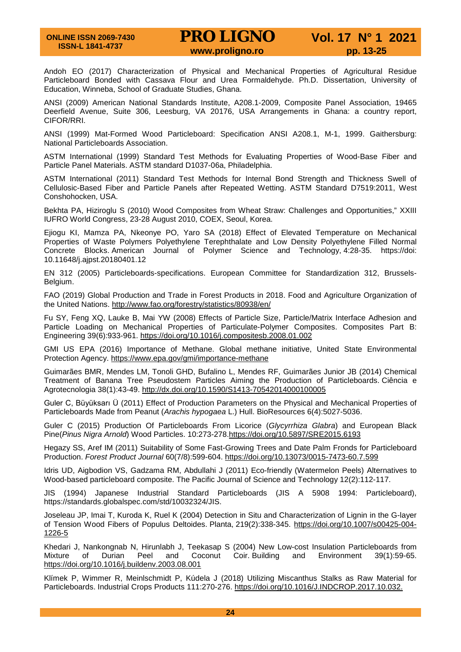Andoh EO (2017) Characterization of Physical and Mechanical Properties of Agricultural Residue Particleboard Bonded with Cassava Flour and Urea Formaldehyde. Ph.D. Dissertation, University of Education, Winneba, School of Graduate Studies, Ghana.

ANSI (2009) American National Standards Institute, A208.1-2009, Composite Panel Association, 19465 Deerfield Avenue, Suite 306, Leesburg, VA 20176, USA Arrangements in Ghana: a country report, CIFOR/RRI.

ANSI (1999) Mat-Formed Wood Particleboard: Specification ANSI A208.1, M-1, 1999. Gaithersburg: National Particleboards Association.

ASTM International (1999) Standard Test Methods for Evaluating Properties of Wood-Base Fiber and Particle Panel Materials. ASTM standard D1037-06a, Philadelphia.

ASTM International (2011) Standard Test Methods for Internal Bond Strength and Thickness Swell of Cellulosic-Based Fiber and Particle Panels after Repeated Wetting. ASTM Standard D7519:2011, West Conshohocken, USA.

Bekhta PA, Hiziroglu S (2010) Wood Composites from Wheat Straw: Challenges and Opportunities," XXIII IUFRO World Congress, 23-28 August 2010, COEX, Seoul, Korea.

Ejiogu KI, Mamza PA, Nkeonye PO, Yaro SA (2018) Effect of Elevated Temperature on Mechanical Properties of Waste Polymers Polyethylene Terephthalate and Low Density Polyethylene Filled Normal Concrete Blocks. American Journal of Polymer Science and Technology, 4:28-35. https://doi: 10.11648/j.ajpst.20180401.12

EN 312 (2005) Particleboards-specifications. European Committee for Standardization 312, Brussels-Belgium.

FAO (2019) Global Production and Trade in Forest Products in 2018. Food and Agriculture Organization of the United Nations.<http://www.fao.org/forestry/statistics/80938/en/>

Fu SY, Feng XQ, Lauke B, Mai YW (2008) Effects of Particle Size, Particle/Matrix Interface Adhesion and Particle Loading on Mechanical Properties of Particulate-Polymer Composites. Composites Part B: Engineering 39(6):933-961.<https://doi.org/10.1016/j.compositesb.2008.01.002>

GMI US EPA (2016) Importance of Methane. Global methane initiative, United State Environmental Protection Agency.<https://www.epa.gov/gmi/importance-methane>

Guimarães BMR, Mendes LM, Tonoli GHD, Bufalino L, Mendes RF, Guimarães Junior JB (2014) Chemical Treatment of Banana Tree Pseudostem Particles Aiming the Production of Particleboards. Ciência e Agrotecnologia 38(1):43-49.<http://dx.doi.org/10.1590/S1413-70542014000100005>

Guler C, Büyüksarı Ü (2011) Effect of Production Parameters on the Physical and Mechanical Properties of Particleboards Made from Peanut (*Arachis hypogaea* L.) Hull. BioResources 6(4):5027-5036.

Guler C (2015) Production Of Particleboards From Licorice (*Glycyrrhiza Glabra*) and European Black Pine(*Pinus Nigra Arnold*) Wood Particles. 10:273-278[.https://doi.org/10.5897/SRE2015.6193](https://doi.org/10.5897/SRE2015.6193)

Hegazy SS, Aref IM (2011) Suitability of Some Fast-Growing Trees and Date Palm Fronds for Particleboard Production. *Forest Product Journal* 60(7/8):599-604.<https://doi.org/10.13073/0015-7473-60.7.599>

Idris UD, Aigbodion VS, Gadzama RM, Abdullahi J (2011) Eco-friendly (Watermelon Peels) Alternatives to Wood-based particleboard composite. The Pacific Journal of Science and Technology 12(2):112-117.

JIS (1994) Japanese Industrial Standard Particleboards (JIS A 5908 1994: Particleboard), https://standards.globalspec.com/std/10032324/JIS.

Joseleau JP, Imai T, Kuroda K, Ruel K (2004) Detection in Situ and Characterization of Lignin in the G-layer of Tension Wood Fibers of Populus Deltoides. Planta, 219(2):338-345. [https://doi.org/10.1007/s00425-004-](https://doi.org/10.1007/s00425-004-1226-5) [1226-5](https://doi.org/10.1007/s00425-004-1226-5)

Khedari J, Nankongnab N, Hirunlabh J, Teekasap S (2004) New Low-cost Insulation Particleboards from<br>Mixture of Durian Peel and Coconut Coir Building and Environment 39(1):59-65. Mixture of Durian Peel and Coconut Coir. Building and Environment 39(1):59-65. <https://doi.org/10.1016/j.buildenv.2003.08.001>

Klímek P, Wimmer R, Meinlschmidt P, Kúdela J (2018) Utilizing Miscanthus Stalks as Raw Material for Particleboards. Industrial Crops Products 111:270-276. https://doi.org/10.1016/J.INDCROP.2017.10.032.